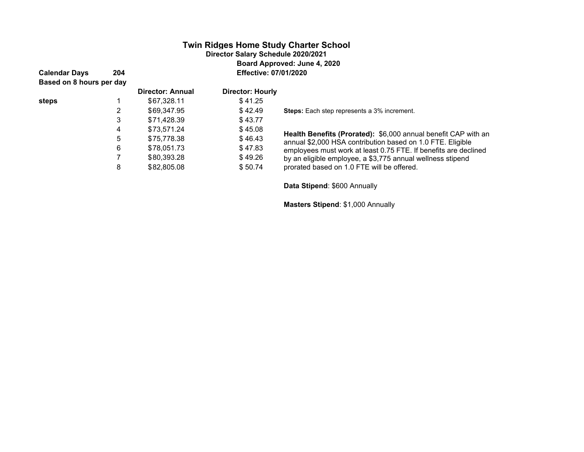# **Twin Ridges Home Study Charter School Director Salary Schedule 2020/2021 Board Approved: June 4, 2020 Calendar Days 204 Effective: 07/01/2020**

**Based on 8 hours per day**

**steps** 1 \$67,328.11 \$41.25

 $$75,778.38$ 

3 (\$71,428.39) (\$ 43.77)

6 (\$78,051.73) (\$ 47.83) 7  $$80,393.28$   $$49.26$ 8  $$82,805.08$   $$50.74$ 

| <b>Director: Annual</b> | <b>Director: Hourly</b> |
|-------------------------|-------------------------|

2 (\$69,347.95) (\$ 42.49) **Steps:** Each step represents a 3% increment.

<sup>4</sup> (\$73,571.24) (\$ 45.08) **Health Benefits (Prorated):** \$6,000 annual benefit CAP with an annual \$2,000 HSA contribution based on 1.0 FTE. Eligible employees must work at least 0.75 FTE. If benefits are declined by an eligible employee, a \$3,775 annual wellness stipend prorated based on 1.0 FTE will be offered.

 **Data Stipend**: \$600 Annually

**Masters Stipend**: \$1,000 Annually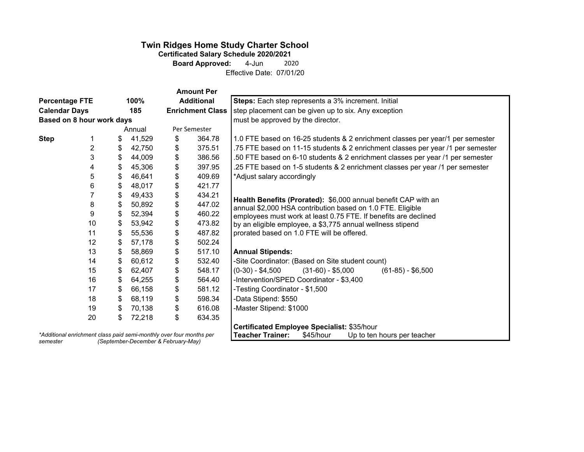# **Twin Ridges Home Study Charter School**

**Certificated Salary Schedule 2020/2021<br>Board Approved:** 4-Jun 200 **Board Approved:** 4-Jun 2020

Effective Date: 07/01/20

|                                                                     |    |              |                                   |    | <b>Amount Per</b>                                    |                                                                                                                               |
|---------------------------------------------------------------------|----|--------------|-----------------------------------|----|------------------------------------------------------|-------------------------------------------------------------------------------------------------------------------------------|
| <b>Percentage FTE</b><br>100%                                       |    |              | <b>Additional</b>                 |    | Steps: Each step represents a 3% increment. Initial  |                                                                                                                               |
| <b>Calendar Days</b><br>185                                         |    |              | <b>Enrichment Class</b>           |    | step placement can be given up to six. Any exception |                                                                                                                               |
| Based on 8 hour work days                                           |    |              | must be approved by the director. |    |                                                      |                                                                                                                               |
| Annual                                                              |    | Per Semester |                                   |    |                                                      |                                                                                                                               |
| <b>Step</b>                                                         |    | \$           | 41,529                            | \$ | 364.78                                               | 1.0 FTE based on 16-25 students & 2 enrichment classes per year/1 per semester                                                |
|                                                                     | 2  | \$           | 42,750                            | \$ | 375.51                                               | .75 FTE based on 11-15 students & 2 enrichment classes per year /1 per semester                                               |
|                                                                     | 3  | \$           | 44,009                            | \$ | 386.56                                               | .50 FTE based on 6-10 students & 2 enrichment classes per year /1 per semester                                                |
|                                                                     | 4  | \$           | 45,306                            | \$ | 397.95                                               | .25 FTE based on 1-5 students & 2 enrichment classes per year /1 per semester                                                 |
|                                                                     | 5  | \$           | 46,641                            | \$ | 409.69                                               | *Adjust salary accordingly                                                                                                    |
|                                                                     | 6  | \$           | 48,017                            | \$ | 421.77                                               |                                                                                                                               |
|                                                                     |    | \$           | 49,433                            | \$ | 434.21                                               | Health Benefits (Prorated): \$6,000 annual benefit CAP with an                                                                |
|                                                                     | 8  | \$           | 50,892                            | \$ | 447.02                                               | annual \$2,000 HSA contribution based on 1.0 FTE. Eligible                                                                    |
|                                                                     | 9  | \$           | 52,394                            | \$ | 460.22                                               | employees must work at least 0.75 FTE. If benefits are declined<br>by an eligible employee, a \$3,775 annual wellness stipend |
|                                                                     | 10 | \$           | 53,942                            | \$ | 473.82                                               |                                                                                                                               |
|                                                                     | 11 | \$           | 55,536                            | \$ | 487.82                                               | prorated based on 1.0 FTE will be offered.                                                                                    |
|                                                                     | 12 | \$           | 57,178                            | \$ | 502.24                                               |                                                                                                                               |
|                                                                     | 13 | \$           | 58,869                            | \$ | 517.10                                               | <b>Annual Stipends:</b>                                                                                                       |
|                                                                     | 14 | \$           | 60,612                            | \$ | 532.40                                               | -Site Coordinator: (Based on Site student count)                                                                              |
|                                                                     | 15 | \$           | 62,407                            | \$ | 548.17                                               | $(0-30) - $4,500$<br>$(31-60) - $5,000$<br>$(61-85) - $6,500$                                                                 |
|                                                                     | 16 | \$           | 64,255                            | \$ | 564.40                                               | -Intervention/SPED Coordinator - \$3,400                                                                                      |
|                                                                     | 17 | \$           | 66,158                            | \$ | 581.12                                               | -Testing Coordinator - \$1,500                                                                                                |
|                                                                     | 18 | \$           | 68,119                            | \$ | 598.34                                               | -Data Stipend: \$550                                                                                                          |
|                                                                     | 19 | \$           | 70,138                            | \$ | 616.08                                               | -Master Stipend: \$1000                                                                                                       |
|                                                                     | 20 | \$           | 72,218                            | \$ | 634.35                                               |                                                                                                                               |
|                                                                     |    |              |                                   |    |                                                      | Certificated Employee Specialist: \$35/hour                                                                                   |
| *Additional enrichment class paid semi-monthly over four months per |    |              |                                   |    |                                                      | <b>Teacher Trainer:</b><br>Up to ten hours per teacher<br>\$45/hour                                                           |

*semester (September-December & February-May)*